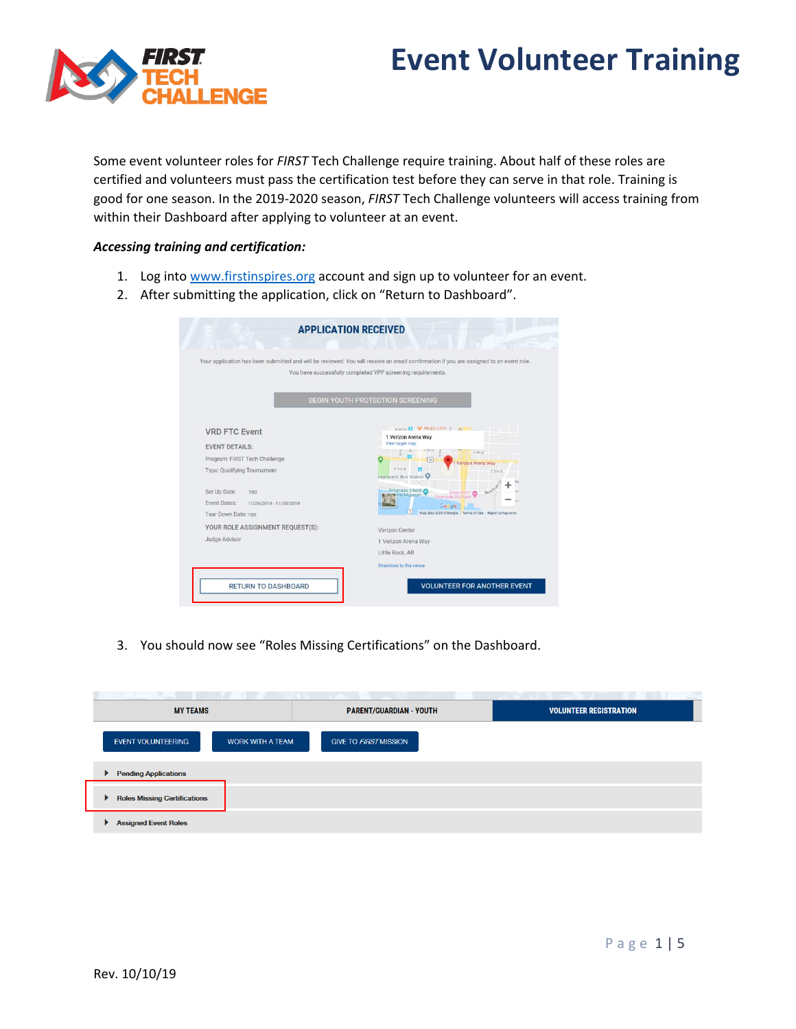## **Event Volunteer Training**



Some event volunteer roles for *FIRST* Tech Challenge require training. About half of these roles are certified and volunteers must pass the certification test before they can serve in that role. Training is good for one season. In the 2019-2020 season, *FIRST* Tech Challenge volunteers will access training from within their Dashboard after applying to volunteer at an event.

## *Accessing training and certification:*

- 1. Log into [www.firstinspires.org](http://www.firstinspires.org/) account and sign up to volunteer for an event.
- 2. After submitting the application, click on "Return to Dashboard".

|                                                                                                                                                                                                        | Your application has been submitted and will be reviewed. You will receive an email confirmation if you are assigned to an event role.<br>You have successfully completed YPP screening requirements.                                                                                                                                                                                                   |
|--------------------------------------------------------------------------------------------------------------------------------------------------------------------------------------------------------|---------------------------------------------------------------------------------------------------------------------------------------------------------------------------------------------------------------------------------------------------------------------------------------------------------------------------------------------------------------------------------------------------------|
|                                                                                                                                                                                                        | <b>BEGIN YOUTH PROTECTION SCREENING</b>                                                                                                                                                                                                                                                                                                                                                                 |
| <b>VRD FTC Event</b><br><b>EVENT DETAILS:</b><br>Program: FIRST Tech Challenge<br>Type: Qualifying Tournament<br>Set Up Date:<br>TBD<br>Event Dates:<br>11/29/2019 - 11/30/2019<br>Tear Down Date: TBD | weeks <b>Ellis Wugs Cate</b> : <b>X III II</b><br>1 Verizon Arena Way<br>View larger map<br><b>E 403.37</b><br>$\mathbb{Z}$<br>ठा<br>E 4th St<br>$\approx$<br>70<br>Verizon Arena Way<br>W 2nd ftr<br>E 2nd St<br>ireyhound: Bus Station<br>Arkansas Inland<br>River<br>Downtown<br>Tal me Museum<br><b>Riverside RV Park</b><br>Google<br>(5)<br>Map data 62019 Google Terms of Use Report a map error |
| YOUR ROLE ASSIGNMENT REQUEST(S):<br>Judge Advisor                                                                                                                                                      | Verizon Center<br>1 Verizon Arena Way<br>Little Rock, AR                                                                                                                                                                                                                                                                                                                                                |

3. You should now see "Roles Missing Certifications" on the Dashboard.

| <b>MY TEAMS</b>                                      | <b>PARENT/GUARDIAN - YOUTH</b> | <b>VOLUNTEER REGISTRATION</b> |
|------------------------------------------------------|--------------------------------|-------------------------------|
| <b>EVENT VOLUNTEERING</b><br><b>WORK WITH A TEAM</b> | <b>GIVE TO FIRST MISSION</b>   |                               |
| ▶ Pending Applications                               |                                |                               |
| Roles Missing Certifications                         |                                |                               |
| Assigned Event Roles                                 |                                |                               |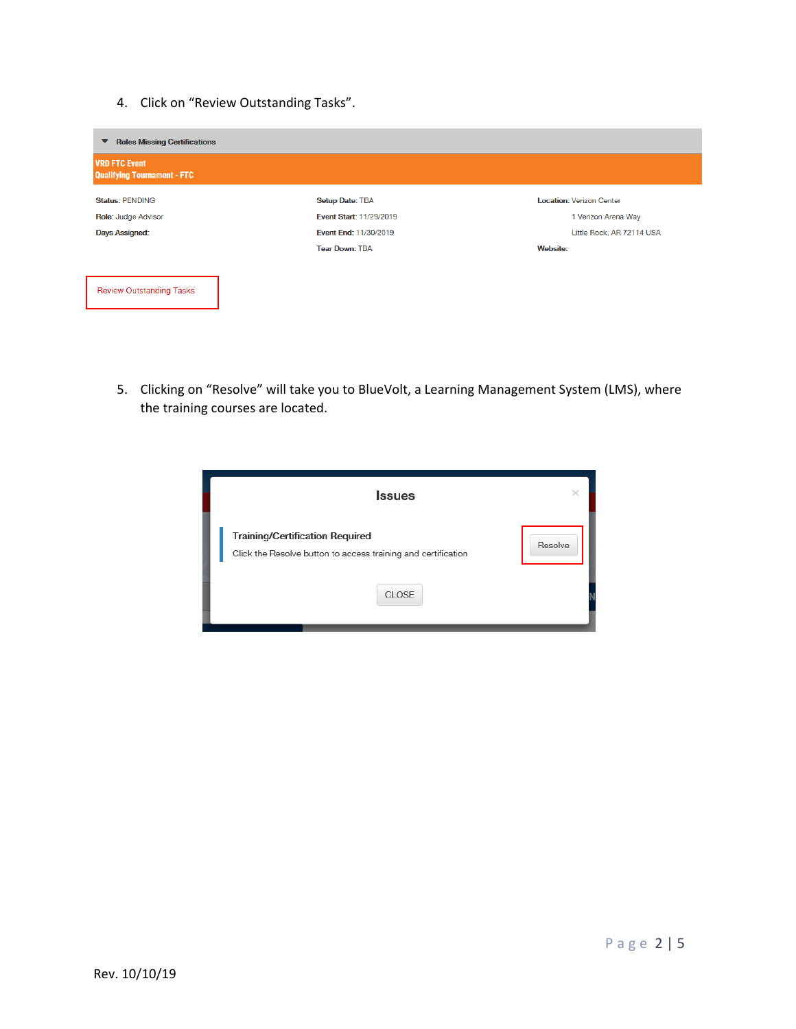4. Click on "Review Outstanding Tasks".

| <b>Roles Missing Certifications</b><br>▼                   |                                |                                 |  |
|------------------------------------------------------------|--------------------------------|---------------------------------|--|
| <b>VRD FTC Event</b><br><b>Qualifying Tournament - FTC</b> |                                |                                 |  |
| <b>Status: PENDING</b>                                     | <b>Setup Date: TBA</b>         | <b>Location: Verizon Center</b> |  |
| Role: Judge Advisor                                        | <b>Event Start: 11/29/2019</b> | 1 Verizon Arena Way             |  |
| <b>Days Assigned:</b>                                      | Event End: 11/30/2019          | Little Rock, AR 72114 USA       |  |
|                                                            | <b>Tear Down: TBA</b>          | <b>Website:</b>                 |  |
|                                                            |                                |                                 |  |
| <b>Review Outstanding Tasks</b>                            |                                |                                 |  |

5. Clicking on "Resolve" will take you to BlueVolt, a Learning Management System (LMS), where the training courses are located.

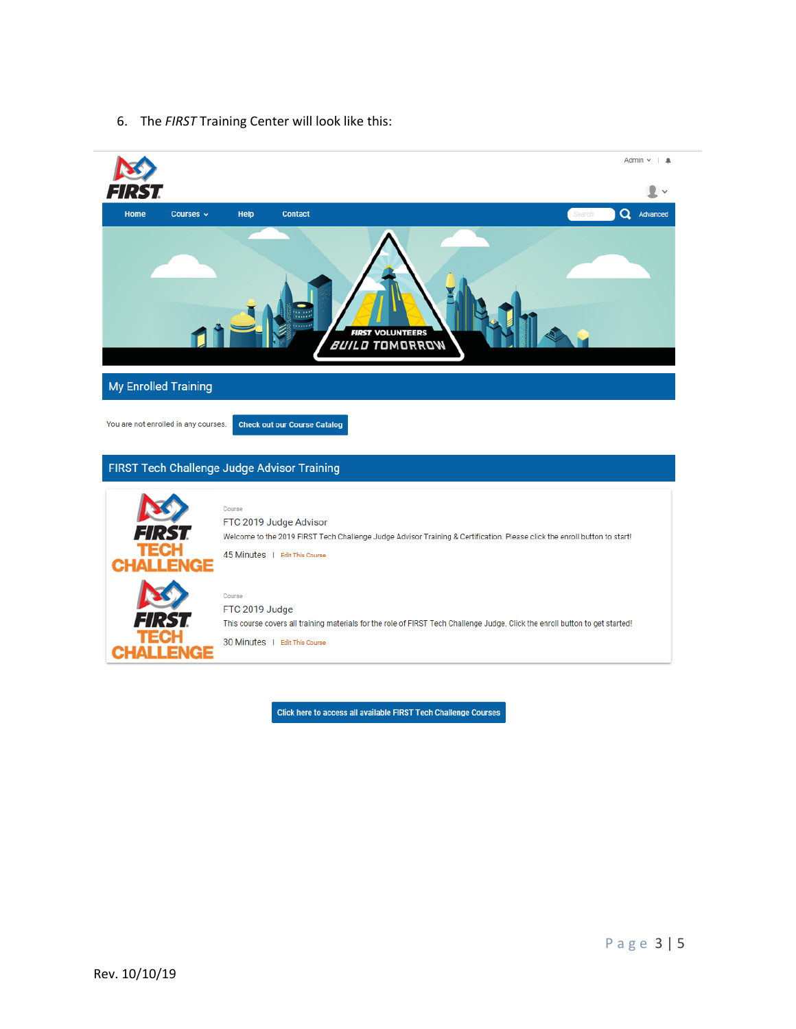6. The *FIRST* Training Center will look like this:



Click here to access all available FIRST Tech Challenge Courses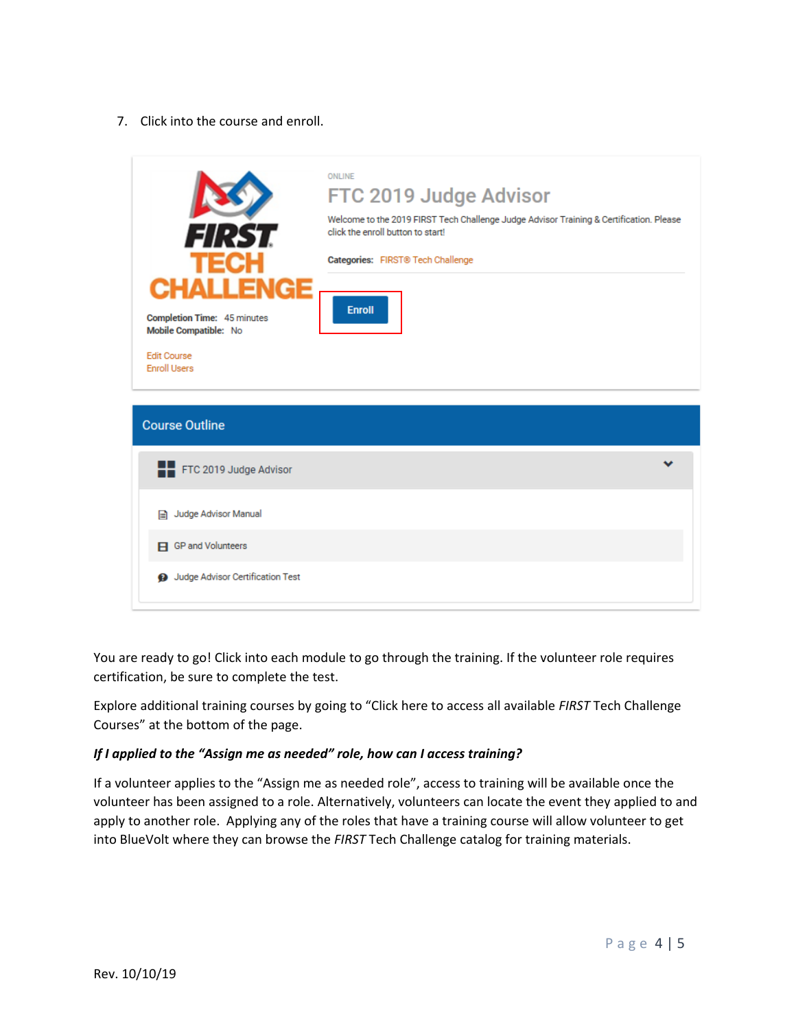7. Click into the course and enroll.



You are ready to go! Click into each module to go through the training. If the volunteer role requires certification, be sure to complete the test.

Explore additional training courses by going to "Click here to access all available *FIRST* Tech Challenge Courses" at the bottom of the page.

## *If I applied to the "Assign me as needed" role, how can I access training?*

If a volunteer applies to the "Assign me as needed role", access to training will be available once the volunteer has been assigned to a role. Alternatively, volunteers can locate the event they applied to and apply to another role. Applying any of the roles that have a training course will allow volunteer to get into BlueVolt where they can browse the *FIRST* Tech Challenge catalog for training materials.